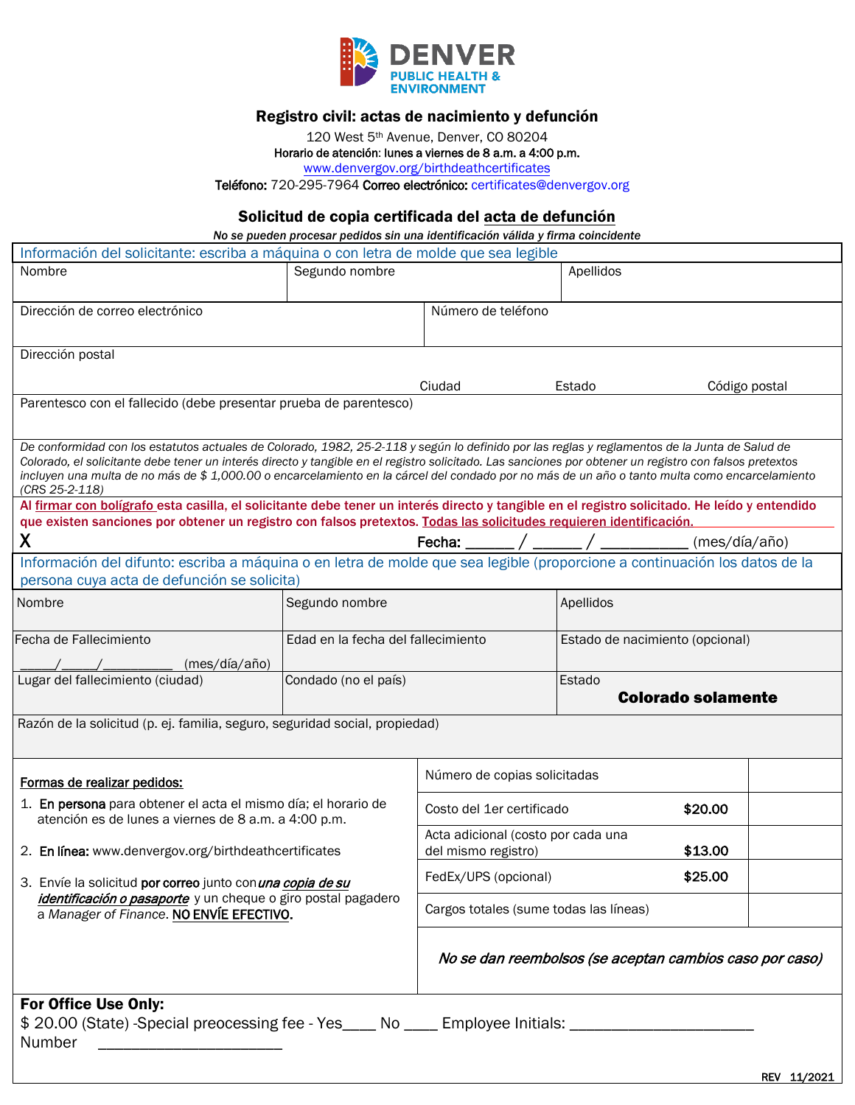

## Registro civil: actas de nacimiento y defunción

120 West 5th Avenue, Denver, CO 80204

## Horario de atención: lunes a viernes de 8 a.m. a 4:00 p.m.

<www.denvergov.org/birthdeathcertificates>

Teléfono: 720-295-7964 Correo electrónico: certificates@denvergov.org

## Solicitud de copia certificada del acta de defunción

 *No se pueden procesar pedidos sin una identificación válida y firma coincidente* 

| Información del solicitante: escriba a máquina o con letra de molde que sea legible                                                                                                                                                                                                                                                                               |                                                         |                                                                      |                                     |  |  |  |
|-------------------------------------------------------------------------------------------------------------------------------------------------------------------------------------------------------------------------------------------------------------------------------------------------------------------------------------------------------------------|---------------------------------------------------------|----------------------------------------------------------------------|-------------------------------------|--|--|--|
| Nombre                                                                                                                                                                                                                                                                                                                                                            | Segundo nombre                                          |                                                                      | Apellidos                           |  |  |  |
|                                                                                                                                                                                                                                                                                                                                                                   |                                                         |                                                                      |                                     |  |  |  |
| Dirección de correo electrónico                                                                                                                                                                                                                                                                                                                                   |                                                         | Número de teléfono                                                   |                                     |  |  |  |
|                                                                                                                                                                                                                                                                                                                                                                   |                                                         |                                                                      |                                     |  |  |  |
| Dirección postal                                                                                                                                                                                                                                                                                                                                                  |                                                         |                                                                      |                                     |  |  |  |
|                                                                                                                                                                                                                                                                                                                                                                   |                                                         | Ciudad                                                               | Código postal<br>Estado             |  |  |  |
| Parentesco con el fallecido (debe presentar prueba de parentesco)                                                                                                                                                                                                                                                                                                 |                                                         |                                                                      |                                     |  |  |  |
|                                                                                                                                                                                                                                                                                                                                                                   |                                                         |                                                                      |                                     |  |  |  |
| De conformidad con los estatutos actuales de Colorado, 1982, 25-2-118 y según lo definido por las reglas y reglamentos de la Junta de Salud de                                                                                                                                                                                                                    |                                                         |                                                                      |                                     |  |  |  |
| Colorado, el solicitante debe tener un interés directo y tangible en el registro solicitado. Las sanciones por obtener un registro con falsos pretextos<br>incluyen una multa de no más de \$1,000.00 o encarcelamiento en la cárcel del condado por no más de un año o tanto multa como encarcelamiento                                                          |                                                         |                                                                      |                                     |  |  |  |
| (CRS 25-2-118)                                                                                                                                                                                                                                                                                                                                                    |                                                         |                                                                      |                                     |  |  |  |
| Al firmar con bolígrafo esta casilla, el solicitante debe tener un interés directo y tangible en el registro solicitado. He leído y entendido<br>que existen sanciones por obtener un registro con falsos pretextos. Todas las solicitudes requieren identificación.                                                                                              |                                                         |                                                                      |                                     |  |  |  |
| X                                                                                                                                                                                                                                                                                                                                                                 |                                                         | Fecha: /                                                             | (mes/día/año)                       |  |  |  |
| Información del difunto: escriba a máquina o en letra de molde que sea legible (proporcione a continuación los datos de la                                                                                                                                                                                                                                        |                                                         |                                                                      |                                     |  |  |  |
| persona cuya acta de defunción se solicita)                                                                                                                                                                                                                                                                                                                       |                                                         |                                                                      |                                     |  |  |  |
| Nombre                                                                                                                                                                                                                                                                                                                                                            | Segundo nombre                                          |                                                                      | Apellidos                           |  |  |  |
|                                                                                                                                                                                                                                                                                                                                                                   |                                                         |                                                                      |                                     |  |  |  |
| Fecha de Fallecimiento                                                                                                                                                                                                                                                                                                                                            | Edad en la fecha del fallecimiento                      |                                                                      | Estado de nacimiento (opcional)     |  |  |  |
| (mes/día/año)                                                                                                                                                                                                                                                                                                                                                     |                                                         |                                                                      |                                     |  |  |  |
| Lugar del fallecimiento (ciudad)                                                                                                                                                                                                                                                                                                                                  | Condado (no el país)                                    |                                                                      | Estado<br><b>Colorado solamente</b> |  |  |  |
| Razón de la solicitud (p. ej. familia, seguro, seguridad social, propiedad)                                                                                                                                                                                                                                                                                       |                                                         |                                                                      |                                     |  |  |  |
|                                                                                                                                                                                                                                                                                                                                                                   |                                                         |                                                                      |                                     |  |  |  |
|                                                                                                                                                                                                                                                                                                                                                                   |                                                         |                                                                      |                                     |  |  |  |
| Formas de realizar pedidos:                                                                                                                                                                                                                                                                                                                                       |                                                         | Número de copias solicitadas                                         |                                     |  |  |  |
| 1. En persona para obtener el acta el mismo día; el horario de<br>atención es de lunes a viernes de 8 a.m. a 4:00 p.m.<br>2. En línea: www.denvergov.org/birthdeathcertificates<br>3. Envíe la solicitud por correo junto con <i>una copia de su</i><br>identificación o pasaporte y un cheque o giro postal pagadero<br>a Manager of Finance. NO ENVIE EFECTIVO. |                                                         | Costo del 1er certificado<br>\$20.00                                 |                                     |  |  |  |
|                                                                                                                                                                                                                                                                                                                                                                   |                                                         |                                                                      |                                     |  |  |  |
|                                                                                                                                                                                                                                                                                                                                                                   |                                                         | Acta adicional (costo por cada una<br>\$13.00<br>del mismo registro) |                                     |  |  |  |
|                                                                                                                                                                                                                                                                                                                                                                   |                                                         | FedEx/UPS (opcional)                                                 | \$25.00                             |  |  |  |
|                                                                                                                                                                                                                                                                                                                                                                   |                                                         |                                                                      |                                     |  |  |  |
|                                                                                                                                                                                                                                                                                                                                                                   |                                                         | Cargos totales (sume todas las líneas)                               |                                     |  |  |  |
|                                                                                                                                                                                                                                                                                                                                                                   |                                                         |                                                                      |                                     |  |  |  |
|                                                                                                                                                                                                                                                                                                                                                                   | No se dan reembolsos (se aceptan cambios caso por caso) |                                                                      |                                     |  |  |  |
|                                                                                                                                                                                                                                                                                                                                                                   |                                                         |                                                                      |                                     |  |  |  |
| For Office Use Only:                                                                                                                                                                                                                                                                                                                                              |                                                         |                                                                      |                                     |  |  |  |
| \$20.00 (State) -Special preocessing fee - Yes____ No ____ Employee Initials: ________                                                                                                                                                                                                                                                                            |                                                         |                                                                      |                                     |  |  |  |
| Number                                                                                                                                                                                                                                                                                                                                                            |                                                         |                                                                      |                                     |  |  |  |